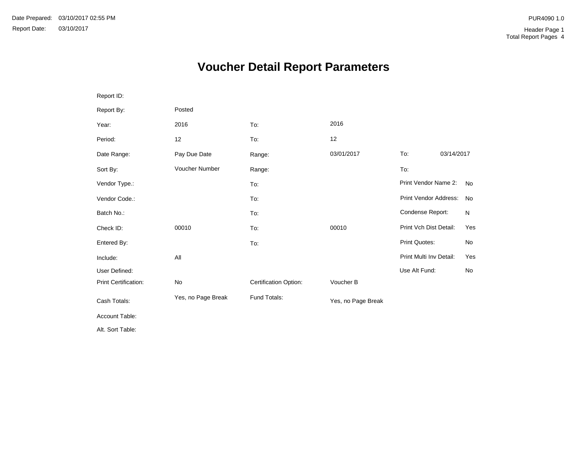# **Voucher Detail Report Parameters**

| Report ID:                  |                    |                       |                    |                         |            |
|-----------------------------|--------------------|-----------------------|--------------------|-------------------------|------------|
| Report By:                  | Posted             |                       |                    |                         |            |
| Year:                       | 2016               | To:                   | 2016               |                         |            |
| Period:                     | 12                 | To:                   | 12                 |                         |            |
| Date Range:                 | Pay Due Date       | Range:                | 03/01/2017         | To:                     | 03/14/2017 |
| Sort By:                    | Voucher Number     | Range:                |                    | To:                     |            |
| Vendor Type.:               |                    | To:                   |                    | Print Vendor Name 2:    | <b>No</b>  |
| Vendor Code.:               |                    | To:                   |                    | Print Vendor Address:   | No         |
| Batch No.:                  |                    | To:                   |                    | Condense Report:        | N          |
| Check ID:                   | 00010              | To:                   | 00010              | Print Vch Dist Detail:  | Yes        |
| Entered By:                 |                    | To:                   |                    | <b>Print Quotes:</b>    | No         |
| Include:                    | All                |                       |                    | Print Multi Inv Detail: | Yes        |
| User Defined:               |                    |                       |                    | Use Alt Fund:           | No         |
| <b>Print Certification:</b> | No                 | Certification Option: | Voucher B          |                         |            |
| Cash Totals:                | Yes, no Page Break | Fund Totals:          | Yes, no Page Break |                         |            |
| Account Table:              |                    |                       |                    |                         |            |
| Alt. Sort Table:            |                    |                       |                    |                         |            |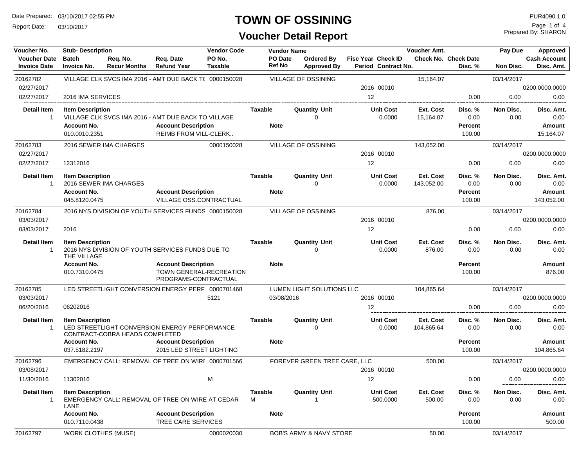Report Date: 03/10/2017

### **TOWN OF OSSINING**

## **Voucher Detail Report**

Prepared By: SHARON Page 1 of 4

| Voucher No.                                | <b>Vendor Code</b><br><b>Stub-Description</b>                                              |                                 | <b>Vendor Name</b>                                                                                         |                                  | <b>Voucher Amt.</b>        | Pay Due                                 | Approved                                  |                         |                                             |                   |                                                  |
|--------------------------------------------|--------------------------------------------------------------------------------------------|---------------------------------|------------------------------------------------------------------------------------------------------------|----------------------------------|----------------------------|-----------------------------------------|-------------------------------------------|-------------------------|---------------------------------------------|-------------------|--------------------------------------------------|
| <b>Voucher Date</b><br><b>Invoice Date</b> | <b>Batch</b><br><b>Invoice No.</b>                                                         | Req. No.<br><b>Recur Months</b> | Reg. Date<br><b>Refund Year</b>                                                                            | PO No.<br>Taxable                | PO Date<br><b>Ref No</b>   | <b>Ordered By</b><br><b>Approved By</b> | Fisc Year Check ID<br>Period Contract No. |                         | <b>Check No. Check Date</b><br>Disc. %      | Non Disc.         | <b>Cash Account</b><br>Disc. Amt.                |
| 20162782                                   |                                                                                            |                                 | VILLAGE CLK SVCS IMA 2016 - AMT DUE BACK T( 0000150028                                                     |                                  |                            | <b>VILLAGE OF OSSINING</b>              |                                           | 15,164.07               |                                             | 03/14/2017        |                                                  |
| 02/27/2017                                 |                                                                                            |                                 |                                                                                                            |                                  |                            |                                         | 2016 00010                                |                         |                                             |                   | 0200.0000.0000                                   |
| 02/27/2017                                 | 2016 IMA SERVICES                                                                          |                                 |                                                                                                            |                                  |                            |                                         | 12                                        |                         | 0.00                                        | 0.00              | 0.00                                             |
| <b>Detail Item</b><br>$\mathbf 1$          | <b>Item Description</b><br><b>Account No.</b><br>010.0010.2351                             |                                 | VILLAGE CLK SVCS IMA 2016 - AMT DUE BACK TO VILLAGE<br><b>Account Description</b><br>REIMB FROM VILL-CLERK |                                  | Taxable<br><b>Note</b>     | <b>Quantity Unit</b><br>0               | <b>Unit Cost</b><br>0.0000                | Ext. Cost<br>15,164.07  | Disc. %<br>0.00<br><b>Percent</b><br>100.00 | Non Disc.<br>0.00 | Disc. Amt.<br>0.00<br><b>Amount</b><br>15,164.07 |
| 20162783                                   |                                                                                            | 2016 SEWER IMA CHARGES          |                                                                                                            | 0000150028                       |                            | <b>VILLAGE OF OSSINING</b>              |                                           | 143,052.00              |                                             | 03/14/2017        |                                                  |
| 02/27/2017                                 |                                                                                            |                                 |                                                                                                            |                                  |                            |                                         | 2016 00010                                |                         |                                             |                   | 0200.0000.0000                                   |
| 02/27/2017                                 | 12312016                                                                                   |                                 |                                                                                                            |                                  |                            |                                         | 12                                        |                         | 0.00                                        | 0.00              | 0.00                                             |
| <b>Detail Item</b><br>$\mathbf 1$          | <b>Item Description</b><br>Account No.<br>045.8120.0475                                    | 2016 SEWER IMA CHARGES          | <b>Account Description</b><br>VILLAGE OSS.CONTRACTUAL                                                      |                                  | Taxable<br><b>Note</b>     | <b>Quantity Unit</b><br>$\Omega$        | <b>Unit Cost</b><br>0.0000                | Ext. Cost<br>143,052.00 | Disc. %<br>0.00<br><b>Percent</b><br>100.00 | Non Disc.<br>0.00 | Disc. Amt.<br>0.00<br>Amount<br>143,052.00       |
| 20162784                                   |                                                                                            |                                 | 2016 NYS DIVISION OF YOUTH SERVICES FUNDS 0000150028                                                       |                                  |                            | VILLAGE OF OSSINING                     |                                           | 876.00                  |                                             | 03/14/2017        |                                                  |
| 03/03/2017                                 |                                                                                            |                                 |                                                                                                            |                                  |                            |                                         | 2016 00010                                |                         |                                             |                   | 0200.0000.0000                                   |
| 03/03/2017                                 | 2016                                                                                       |                                 |                                                                                                            |                                  |                            |                                         | 12                                        |                         | 0.00                                        | 0.00              | 0.00                                             |
| <b>Detail Item</b><br>1                    | <b>Item Description</b><br>2016 NYS DIVISION OF YOUTH SERVICES FUNDS DUE TO<br>THE VILLAGE |                                 | Taxable                                                                                                    | <b>Quantity Unit</b><br>$\Omega$ | <b>Unit Cost</b><br>0.0000 | Ext. Cost<br>876.00                     | Disc. %<br>0.00                           | Non Disc.<br>0.00       | Disc. Amt.<br>0.00                          |                   |                                                  |
|                                            | <b>Account No.</b><br>010.7310.0475                                                        |                                 | <b>Account Description</b><br>PROGRAMS-CONTRACTUAL                                                         | TOWN GENERAL-RECREATION          | <b>Note</b>                |                                         |                                           |                         | <b>Percent</b><br>100.00                    |                   | <b>Amount</b><br>876.00                          |
| 20162785                                   |                                                                                            |                                 | LED STREETLIGHT CONVERSION ENERGY PERF 0000701468                                                          |                                  |                            | LUMEN LIGHT SOLUTIONS LLC               |                                           | 104,865.64              |                                             | 03/14/2017        |                                                  |
| 03/03/2017                                 |                                                                                            |                                 |                                                                                                            | 5121                             | 03/08/2016                 |                                         | 2016 00010                                |                         |                                             |                   | 0200.0000.0000                                   |
| 06/20/2016                                 | 06202016                                                                                   |                                 |                                                                                                            |                                  |                            |                                         | 12                                        |                         | 0.00                                        | 0.00              | 0.00                                             |
| <b>Detail Item</b>                         | <b>Item Description</b>                                                                    | CONTRACT-COBRA HEADS COMPLETED  | LED STREETLIGHT CONVERSION ENERGY PERFORMANCE                                                              |                                  | Taxable                    | <b>Quantity Unit</b><br>$\Omega$        | <b>Unit Cost</b><br>0.0000                | Ext. Cost<br>104,865.64 | Disc. %<br>0.00                             | Non Disc.<br>0.00 | Disc. Amt.<br>0.00                               |
|                                            | <b>Account No.</b>                                                                         |                                 | <b>Account Description</b>                                                                                 |                                  | <b>Note</b>                |                                         |                                           |                         | <b>Percent</b>                              |                   | <b>Amount</b>                                    |
|                                            | 037.5182.2197                                                                              |                                 | 2015 LED STREET LIGHTING                                                                                   |                                  |                            |                                         |                                           |                         | 100.00                                      |                   | 104,865.64                                       |
| 20162796                                   |                                                                                            |                                 | EMERGENCY CALL: REMOVAL OF TREE ON WIRI 0000701566                                                         |                                  |                            | FOREVER GREEN TREE CARE, LLC            |                                           | 500.00                  |                                             | 03/14/2017        |                                                  |
| 03/08/2017                                 |                                                                                            |                                 |                                                                                                            |                                  |                            |                                         | 2016 00010                                |                         |                                             |                   | 0200.0000.0000                                   |
| 11/30/2016                                 | 11302016                                                                                   |                                 |                                                                                                            | M                                |                            |                                         | 12                                        |                         | 0.00                                        | 0.00              | 0.00                                             |
| Detail Item<br>-1                          | <b>Item Description</b><br>LANE                                                            |                                 | EMERGENCY CALL: REMOVAL OF TREE ON WIRE AT CEDAR                                                           |                                  | Taxable<br>М               | <b>Quantity Unit</b>                    | <b>Unit Cost</b><br>500.0000              | Ext. Cost<br>500.00     | Disc. %<br>0.00                             | Non Disc.<br>0.00 | Disc. Amt.<br>0.00                               |
|                                            | Account No.                                                                                |                                 | <b>Account Description</b>                                                                                 |                                  | <b>Note</b>                |                                         |                                           |                         | Percent                                     |                   | Amount                                           |
|                                            | 010.7110.0438                                                                              |                                 | TREE CARE SERVICES                                                                                         |                                  |                            |                                         |                                           |                         | 100.00                                      |                   | 500.00                                           |
| 20162797                                   | <b>WORK CLOTHES (MUSE)</b>                                                                 |                                 |                                                                                                            | 0000020030                       |                            | <b>BOB'S ARMY &amp; NAVY STORE</b>      |                                           | 50.00                   |                                             | 03/14/2017        |                                                  |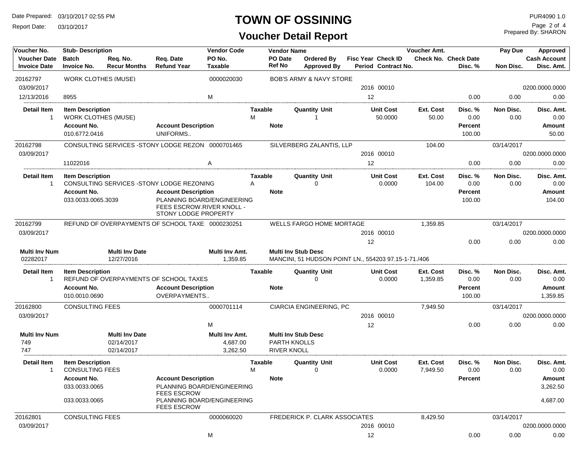Report Date: 03/10/2017

#### **TOWN OF OSSINING**

**Voucher Detail Report**

| Voucher No.                                | <b>Stub-Description</b>                               |                                     |                                                                                                               | <b>Vendor Code</b>         |                     | <b>Vendor Name</b> |                                                                                    |    |                                                  | <b>Voucher Amt.</b>   |                                        | Pay Due           | <b>Approved</b>                   |
|--------------------------------------------|-------------------------------------------------------|-------------------------------------|---------------------------------------------------------------------------------------------------------------|----------------------------|---------------------|--------------------|------------------------------------------------------------------------------------|----|--------------------------------------------------|-----------------------|----------------------------------------|-------------------|-----------------------------------|
| <b>Voucher Date</b><br><b>Invoice Date</b> | <b>Batch</b><br><b>Invoice No.</b>                    | Req. No.<br><b>Recur Months</b>     | Req. Date<br><b>Refund Year</b>                                                                               | PO No.<br><b>Taxable</b>   | <b>Ref No</b>       | <b>PO</b> Date     | Ordered By<br><b>Approved By</b>                                                   |    | <b>Fisc Year Check ID</b><br>Period Contract No. |                       | <b>Check No. Check Date</b><br>Disc. % | Non Disc.         | <b>Cash Account</b><br>Disc. Amt. |
| 20162797                                   | <b>WORK CLOTHES (MUSE)</b>                            |                                     |                                                                                                               | 0000020030                 |                     |                    | <b>BOB'S ARMY &amp; NAVY STORE</b>                                                 |    |                                                  |                       |                                        |                   |                                   |
| 03/09/2017                                 |                                                       |                                     |                                                                                                               |                            |                     |                    |                                                                                    |    | 2016 00010                                       |                       |                                        |                   | 0200.0000.0000                    |
| 12/13/2016                                 | 8955                                                  |                                     |                                                                                                               | M                          |                     |                    |                                                                                    | 12 |                                                  |                       | 0.00                                   | 0.00              | 0.00                              |
| <b>Detail Item</b><br>1                    | <b>Item Description</b><br><b>WORK CLOTHES (MUSE)</b> |                                     |                                                                                                               |                            | <b>Taxable</b><br>м |                    | <b>Quantity Unit</b>                                                               |    | Unit Cost<br>50.0000                             | Ext. Cost<br>50.00    | Disc. %<br>0.00                        | Non Disc.<br>0.00 | Disc. Amt.<br>0.00                |
|                                            | <b>Account No.</b><br>010.6772.0416                   |                                     | <b>Account Description</b><br>UNIFORMS                                                                        |                            | <b>Note</b>         |                    |                                                                                    |    |                                                  |                       | <b>Percent</b><br>100.00               |                   | <b>Amount</b><br>50.00            |
| 20162798                                   |                                                       |                                     | CONSULTING SERVICES - STONY LODGE REZON 0000701465                                                            |                            |                     |                    | SILVERBERG ZALANTIS, LLP                                                           |    |                                                  | 104.00                |                                        | 03/14/2017        |                                   |
| 03/09/2017                                 |                                                       |                                     |                                                                                                               |                            |                     |                    |                                                                                    |    | 2016 00010                                       |                       |                                        |                   | 0200.0000.0000                    |
|                                            | 11022016                                              |                                     |                                                                                                               | A                          |                     |                    |                                                                                    | 12 |                                                  |                       | 0.00                                   | 0.00              | 0.00                              |
| <b>Detail Item</b><br>$\overline{1}$       | <b>Item Description</b>                               |                                     | CONSULTING SERVICES - STONY LODGE REZONING                                                                    |                            | Taxable<br>Α        |                    | <b>Quantity Unit</b><br>$\Omega$                                                   |    | <b>Unit Cost</b><br>0.0000                       | Ext. Cost<br>104.00   | Disc. %<br>0.00                        | Non Disc.<br>0.00 | Disc. Amt.<br>0.00                |
|                                            | <b>Account No.</b><br>033.0033.0065.3039              |                                     | <b>Account Description</b><br>PLANNING BOARD/ENGINEERING<br>FEES ESCROW.RIVER KNOLL -<br>STONY LODGE PROPERTY |                            | <b>Note</b>         |                    |                                                                                    |    |                                                  |                       | <b>Percent</b><br>100.00               |                   | <b>Amount</b><br>104.00           |
| 20162799                                   |                                                       |                                     | REFUND OF OVERPAYMENTS OF SCHOOL TAXE: 0000230251                                                             |                            |                     |                    | <b>WELLS FARGO HOME MORTAGE</b>                                                    |    |                                                  | 1,359.85              |                                        | 03/14/2017        |                                   |
| 03/09/2017                                 |                                                       |                                     |                                                                                                               |                            |                     |                    |                                                                                    |    | 2016 00010                                       |                       |                                        |                   | 0200.0000.0000                    |
|                                            |                                                       |                                     |                                                                                                               |                            |                     |                    |                                                                                    | 12 |                                                  |                       | 0.00                                   | 0.00              | 0.00                              |
| Multi Inv Num<br>02282017                  |                                                       | <b>Multi Inv Date</b><br>12/27/2016 |                                                                                                               | Multi Inv Amt.<br>1,359.85 |                     |                    | <b>Multi Inv Stub Desc</b><br>MANCINI, 51 HUDSON POINT LN., 554203 97.15-1-71./406 |    |                                                  |                       |                                        |                   |                                   |
| Detail Item                                | <b>Item Description</b>                               |                                     |                                                                                                               |                            | Taxable             |                    | <b>Quantity Unit</b>                                                               |    | <b>Unit Cost</b>                                 | Ext. Cost             | Disc. %                                | Non Disc.         | Disc. Amt.                        |
| -1                                         |                                                       |                                     | REFUND OF OVERPAYMENTS OF SCHOOL TAXES                                                                        |                            |                     |                    | ∩                                                                                  |    | 0.0000                                           | 1,359.85              | 0.00                                   | 0.00              | 0.00                              |
|                                            | <b>Account No.</b>                                    |                                     | <b>Account Description</b>                                                                                    |                            | <b>Note</b>         |                    |                                                                                    |    |                                                  |                       | <b>Percent</b>                         |                   | Amount                            |
|                                            | 010.0010.0690                                         |                                     | OVERPAYMENTS                                                                                                  |                            |                     |                    |                                                                                    |    |                                                  |                       | 100.00                                 |                   | 1,359.85                          |
| 20162800                                   | <b>CONSULTING FEES</b>                                |                                     |                                                                                                               | 0000701114                 |                     |                    | <b>CIARCIA ENGINEERING, PC</b>                                                     |    |                                                  | 7,949.50              |                                        | 03/14/2017        |                                   |
| 03/09/2017                                 |                                                       |                                     |                                                                                                               |                            |                     |                    |                                                                                    |    | 2016 00010                                       |                       |                                        |                   | 0200.0000.0000                    |
|                                            |                                                       |                                     |                                                                                                               | M                          |                     |                    |                                                                                    | 12 |                                                  |                       | 0.00                                   | 0.00              | 0.00                              |
| <b>Multi Inv Num</b><br>749                |                                                       | <b>Multi Inv Date</b><br>02/14/2017 |                                                                                                               | Multi Inv Amt.<br>4,687.00 |                     |                    | <b>Multi Inv Stub Desc</b><br><b>PARTH KNOLLS</b>                                  |    |                                                  |                       |                                        |                   |                                   |
| 747                                        |                                                       | 02/14/2017                          |                                                                                                               | 3,262.50                   |                     | <b>RIVER KNOLL</b> |                                                                                    |    |                                                  |                       |                                        |                   |                                   |
| <b>Detail Item</b><br>-1                   | <b>Item Description</b><br><b>CONSULTING FEES</b>     |                                     |                                                                                                               |                            | Taxable<br>м        |                    | <b>Quantity Unit</b><br>0                                                          |    | <b>Unit Cost</b><br>0.0000                       | Ext. Cost<br>7,949.50 | Disc. %<br>0.00                        | Non Disc.<br>0.00 | Disc. Amt.<br>0.00                |
|                                            | Account No.                                           |                                     | <b>Account Description</b>                                                                                    |                            | <b>Note</b>         |                    |                                                                                    |    |                                                  |                       | Percent                                |                   | Amount                            |
|                                            | 033.0033.0065                                         |                                     | PLANNING BOARD/ENGINEERING<br><b>FEES ESCROW</b>                                                              |                            |                     |                    |                                                                                    |    |                                                  |                       |                                        |                   | 3,262.50                          |
|                                            | 033.0033.0065                                         |                                     | PLANNING BOARD/ENGINEERING<br><b>FEES ESCROW</b>                                                              |                            |                     |                    |                                                                                    |    |                                                  |                       |                                        |                   | 4,687.00                          |
| 20162801                                   | <b>CONSULTING FEES</b>                                |                                     |                                                                                                               | 0000060020                 |                     |                    | FREDERICK P. CLARK ASSOCIATES                                                      |    |                                                  | 8,429.50              |                                        | 03/14/2017        |                                   |
| 03/09/2017                                 |                                                       |                                     |                                                                                                               |                            |                     |                    |                                                                                    |    | 2016 00010                                       |                       |                                        |                   | 0200.0000.0000                    |
|                                            |                                                       |                                     |                                                                                                               | M                          |                     |                    |                                                                                    | 12 |                                                  |                       | 0.00                                   | 0.00              | 0.00                              |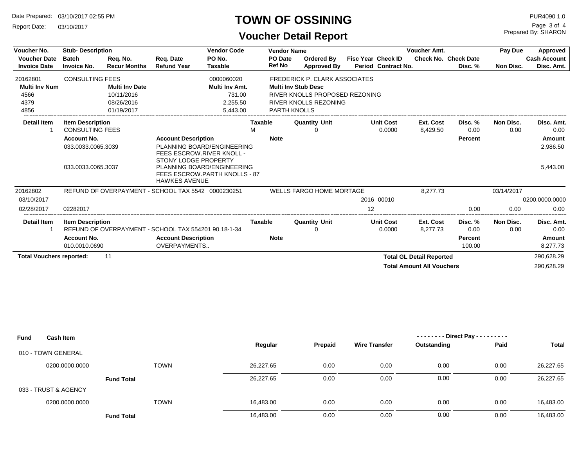Report Date: 03/10/2017

#### **TOWN OF OSSINING**

**Voucher Detail Report**

| Voucher No.                                | <b>Stub-Description</b>                           |                                 |                                                                               | <b>Vendor Code</b><br><b>Vendor Name</b> |                     |                          |                                      |                           | Pay Due                    | Approved                         |                                        |                   |                                   |
|--------------------------------------------|---------------------------------------------------|---------------------------------|-------------------------------------------------------------------------------|------------------------------------------|---------------------|--------------------------|--------------------------------------|---------------------------|----------------------------|----------------------------------|----------------------------------------|-------------------|-----------------------------------|
| <b>Voucher Date</b><br><b>Invoice Date</b> | <b>Batch</b><br><b>Invoice No.</b>                | Req. No.<br><b>Recur Months</b> | Req. Date<br><b>Refund Year</b>                                               | PO No.<br><b>Taxable</b>                 |                     | PO Date<br><b>Ref No</b> | Ordered By<br>Approved By            | <b>Fisc Year Check ID</b> | Period Contract No.        |                                  | <b>Check No. Check Date</b><br>Disc. % | Non Disc.         | <b>Cash Account</b><br>Disc. Amt. |
| 20162801                                   | <b>CONSULTING FEES</b>                            |                                 |                                                                               | 0000060020                               |                     |                          | <b>FREDERICK P. CLARK ASSOCIATES</b> |                           |                            |                                  |                                        |                   |                                   |
| <b>Multi Inv Num</b>                       |                                                   | <b>Multi Inv Date</b>           |                                                                               | Multi Inv Amt.                           |                     |                          | <b>Multi Inv Stub Desc</b>           |                           |                            |                                  |                                        |                   |                                   |
| 4566                                       |                                                   | 10/11/2016                      |                                                                               | 731.00                                   |                     |                          | RIVER KNOLLS PROPOSED REZONING       |                           |                            |                                  |                                        |                   |                                   |
| 4379                                       |                                                   | 08/26/2016                      |                                                                               | 2,255.50                                 |                     |                          | <b>RIVER KNOLLS REZONING</b>         |                           |                            |                                  |                                        |                   |                                   |
| 4856                                       |                                                   | 01/19/2017                      |                                                                               | 5.443.00                                 |                     | <b>PARTH KNOLLS</b>      |                                      |                           |                            |                                  |                                        |                   |                                   |
| <b>Detail Item</b>                         | <b>Item Description</b><br><b>CONSULTING FEES</b> |                                 |                                                                               |                                          | <b>Taxable</b><br>M |                          | <b>Quantity Unit</b>                 |                           | <b>Unit Cost</b><br>0.0000 | Ext. Cost<br>8,429.50            | Disc. %<br>0.00                        | Non Disc.<br>0.00 | Disc. Amt.<br>0.00                |
|                                            | <b>Account No.</b>                                |                                 | <b>Account Description</b>                                                    |                                          |                     | <b>Note</b>              |                                      |                           |                            |                                  | Percent                                |                   | Amount                            |
|                                            | 033.0033.0065.3039                                |                                 |                                                                               | PLANNING BOARD/ENGINEERING               |                     |                          |                                      |                           |                            |                                  |                                        |                   | 2,986.50                          |
|                                            |                                                   |                                 | FEES ESCROW.RIVER KNOLL -                                                     |                                          |                     |                          |                                      |                           |                            |                                  |                                        |                   |                                   |
|                                            | 033.0033.0065.3037                                |                                 | STONY LODGE PROPERTY<br>FEES ESCROW.PARTH KNOLLS - 87<br><b>HAWKES AVENUE</b> | PLANNING BOARD/ENGINEERING               |                     |                          |                                      |                           |                            |                                  |                                        |                   | 5,443.00                          |
| 20162802                                   |                                                   |                                 | REFUND OF OVERPAYMENT - SCHOOL TAX 5542 0000230251                            |                                          |                     |                          | <b>WELLS FARGO HOME MORTAGE</b>      |                           |                            | 8.277.73                         |                                        | 03/14/2017        |                                   |
| 03/10/2017                                 |                                                   |                                 |                                                                               |                                          |                     |                          |                                      |                           | 2016 00010                 |                                  |                                        |                   | 0200.0000.0000                    |
| 02/28/2017                                 | 02282017                                          |                                 |                                                                               |                                          |                     |                          |                                      | 12                        |                            |                                  | 0.00                                   | 0.00              | 0.00                              |
| <b>Detail Item</b>                         | <b>Item Description</b>                           |                                 |                                                                               |                                          | <b>Taxable</b>      |                          | <b>Quantity Unit</b>                 |                           | <b>Unit Cost</b>           | Ext. Cost                        | Disc. %                                | Non Disc.         | Disc. Amt.                        |
|                                            |                                                   |                                 | REFUND OF OVERPAYMENT - SCHOOL TAX 554201 90.18-1-34                          |                                          |                     |                          |                                      |                           | 0.0000                     | 8,277.73                         | 0.00                                   | 0.00              | 0.00                              |
|                                            | <b>Account No.</b>                                |                                 | <b>Account Description</b>                                                    |                                          |                     | <b>Note</b>              |                                      |                           |                            |                                  | <b>Percent</b>                         |                   | Amount                            |
|                                            | 010.0010.0690                                     |                                 | OVERPAYMENTS                                                                  |                                          |                     |                          |                                      |                           |                            |                                  | 100.00                                 |                   | 8,277.73                          |
| <b>Total Vouchers reported:</b>            |                                                   | 11                              |                                                                               |                                          |                     |                          |                                      |                           |                            | <b>Total GL Detail Reported</b>  |                                        |                   | 290,628.29                        |
|                                            |                                                   |                                 |                                                                               |                                          |                     |                          |                                      |                           |                            | <b>Total Amount All Vouchers</b> |                                        |                   | 290,628.29                        |

| <b>Fund</b><br><b>Cash Item</b> |                   |           |         |                      | - - Direct Pay - - - - - - - - - |      |           |
|---------------------------------|-------------------|-----------|---------|----------------------|----------------------------------|------|-----------|
|                                 |                   | Regular   | Prepaid | <b>Wire Transfer</b> | Outstanding                      | Paid | Total     |
| 010 - TOWN GENERAL              |                   |           |         |                      |                                  |      |           |
| 0200.0000.0000                  | <b>TOWN</b>       | 26.227.65 | 0.00    | 0.00                 | 0.00                             | 0.00 | 26,227.65 |
|                                 | <b>Fund Total</b> | 26,227.65 | 0.00    | 0.00                 | 0.00                             | 0.00 | 26,227.65 |
| 033 - TRUST & AGENCY            |                   |           |         |                      |                                  |      |           |
| 0200.0000.0000                  | <b>TOWN</b>       | 16,483.00 | 0.00    | 0.00                 | 0.00                             | 0.00 | 16,483.00 |
|                                 | <b>Fund Total</b> | 16,483.00 | 0.00    | 0.00                 | 0.00                             | 0.00 | 16,483.00 |